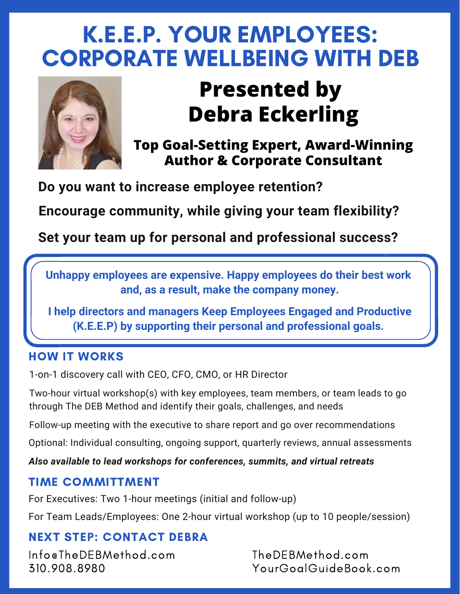# K.E.E.P. YOUR EMPLOYEES: CORPORATE WELLBEING WITH DEB



## **Presented by Debra Eckerling**

**Top Goal-Setting Expert, Award-Winning Author & Corporate Consultant**

**Do you want to increase employee retention?**

**Encourage community, while giving your team flexibility?**

**Set your team up for personal and professional success?**

**Unhappy employees are expensive. Happy employees do their best work and, as a result, make the company money.**

**I help directors and managers Keep Employees Engaged and Productive (K.E.E.P) by supporting their personal and professional goals.**

### HOW IT WORKS

1-on-1 discovery call with CEO, CFO, CMO, or HR Director

Two-hour virtual workshop(s) with key employees, team members, or team leads to go through The DEB Method and identify their goals, challenges, and needs

Follow-up meeting with the executive to share report and go over recommendations

Optional: Individual consulting, ongoing support, quarterly reviews, annual assessments

*Also available to lead workshops for conferences, summits, and virtual retreats*

### TIME COMMITTMENT

For Executives: Two 1-hour meetings (initial and follow-up)

For Team Leads/Employees: One 2-hour virtual workshop (up to 10 people/session)

## NEXT STEP: CONTACT DEBRA

Info@TheDEBMethod.com 310.908.8980

TheDEBMethod.com YourGoalGuideBook.com